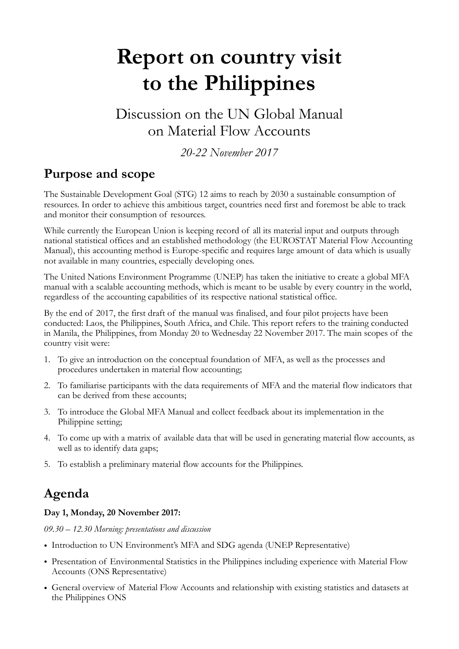# **Report on country visit to the Philippines**

## Discussion on the UN Global Manual on Material Flow Accounts

#### *20-22 November 2017*

### **Purpose and scope**

The Sustainable Development Goal (STG) 12 aims to reach by 2030 a sustainable consumption of resources. In order to achieve this ambitious target, countries need first and foremost be able to track and monitor their consumption of resources.

While currently the European Union is keeping record of all its material input and outputs through national statistical offices and an established methodology (the EUROSTAT Material Flow Accounting Manual), this accounting method is Europe-specific and requires large amount of data which is usually not available in many countries, especially developing ones.

The United Nations Environment Programme (UNEP) has taken the initiative to create a global MFA manual with a scalable accounting methods, which is meant to be usable by every country in the world, regardless of the accounting capabilities of its respective national statistical office.

By the end of 2017, the first draft of the manual was finalised, and four pilot projects have been conducted: Laos, the Philippines, South Africa, and Chile. This report refers to the training conducted in Manila, the Philippines, from Monday 20 to Wednesday 22 November 2017. The main scopes of the country visit were:

- 1. To give an introduction on the conceptual foundation of MFA, as well as the processes and procedures undertaken in material flow accounting;
- 2. To familiarise participants with the data requirements of MFA and the material flow indicators that can be derived from these accounts;
- 3. To introduce the Global MFA Manual and collect feedback about its implementation in the Philippine setting;
- 4. To come up with a matrix of available data that will be used in generating material flow accounts, as well as to identify data gaps;
- 5. To establish a preliminary material flow accounts for the Philippines.

### **Agenda**

#### **Day 1, Monday, 20 November 2017:**

*09.30 – 12.30 Morning: presentations and discussion* 

- Introduction to UN Environment's MFA and SDG agenda (UNEP Representative)
- Presentation of Environmental Statistics in the Philippines including experience with Material Flow Accounts (ONS Representative)
- General overview of Material Flow Accounts and relationship with existing statistics and datasets at the Philippines ONS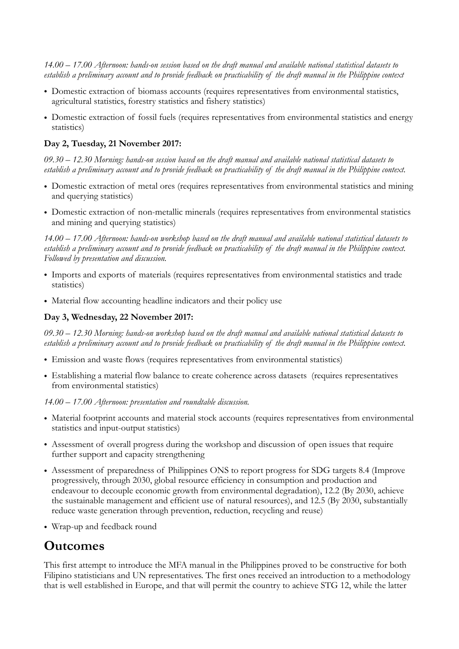*14.00 – 17.00 Afternoon: hands-on session based on the draft manual and available national statistical datasets to establish a preliminary account and to provide feedback on practicability of the draft manual in the Philippine context* 

- Domestic extraction of biomass accounts (requires representatives from environmental statistics, agricultural statistics, forestry statistics and fishery statistics)
- Domestic extraction of fossil fuels (requires representatives from environmental statistics and energy statistics)

#### **Day 2, Tuesday, 21 November 2017:**

*09.30 – 12.30 Morning: hands-on session based on the draft manual and available national statistical datasets to establish a preliminary account and to provide feedback on practicability of the draft manual in the Philippine context.*

- Domestic extraction of metal ores (requires representatives from environmental statistics and mining and querying statistics)
- Domestic extraction of non-metallic minerals (requires representatives from environmental statistics and mining and querying statistics)

*14.00 – 17.00 Afternoon: hands-on workshop based on the draft manual and available national statistical datasets to establish a preliminary account and to provide feedback on practicability of the draft manual in the Philippine context. Followed by presentation and discussion.*

- Imports and exports of materials (requires representatives from environmental statistics and trade statistics)
- Material flow accounting headline indicators and their policy use

#### **Day 3, Wednesday, 22 November 2017:**

*09.30 – 12.30 Morning: hands-on workshop based on the draft manual and available national statistical datasets to establish a preliminary account and to provide feedback on practicability of the draft manual in the Philippine context.*

- Emission and waste flows (requires representatives from environmental statistics)
- Establishing a material flow balance to create coherence across datasets (requires representatives from environmental statistics)

*14.00 – 17.00 Afternoon: presentation and roundtable discussion.*

- Material footprint accounts and material stock accounts (requires representatives from environmental statistics and input-output statistics)
- Assessment of overall progress during the workshop and discussion of open issues that require further support and capacity strengthening
- Assessment of preparedness of Philippines ONS to report progress for SDG targets 8.4 (Improve progressively, through 2030, global resource efficiency in consumption and production and endeavour to decouple economic growth from environmental degradation), 12.2 (By 2030, achieve the sustainable management and efficient use of natural resources), and 12.5 (By 2030, substantially reduce waste generation through prevention, reduction, recycling and reuse)
- Wrap-up and feedback round

### **Outcomes**

This first attempt to introduce the MFA manual in the Philippines proved to be constructive for both Filipino statisticians and UN representatives. The first ones received an introduction to a methodology that is well established in Europe, and that will permit the country to achieve STG 12, while the latter